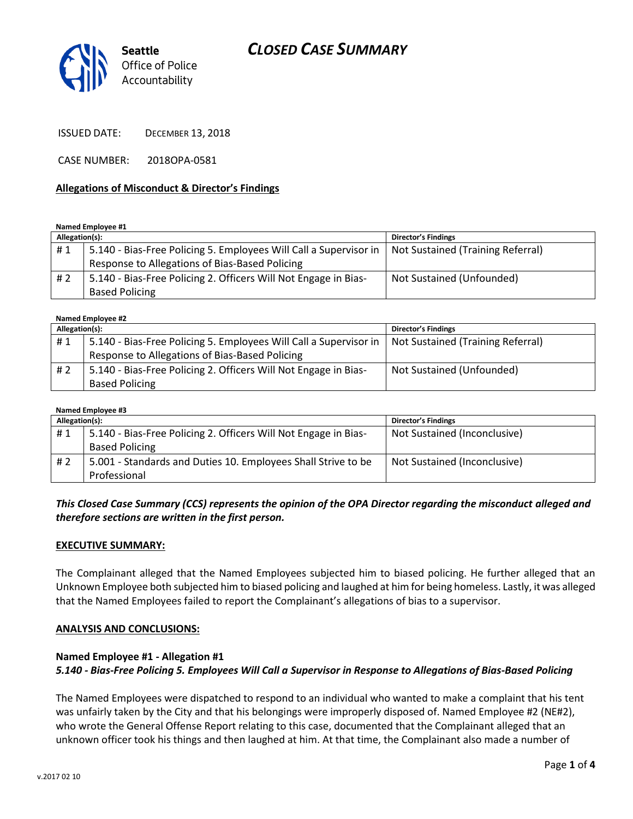# *CLOSED CASE SUMMARY*



ISSUED DATE: DECEMBER 13, 2018

CASE NUMBER: 2018OPA-0581

#### **Allegations of Misconduct & Director's Findings**

**Named Employee #1**

| Allegation(s): |                                                                   | <b>Director's Findings</b>        |
|----------------|-------------------------------------------------------------------|-----------------------------------|
| #1             | 5.140 - Bias-Free Policing 5. Employees Will Call a Supervisor in | Not Sustained (Training Referral) |
|                | Response to Allegations of Bias-Based Policing                    |                                   |
| #2             | 5.140 - Bias-Free Policing 2. Officers Will Not Engage in Bias-   | Not Sustained (Unfounded)         |
|                | <b>Based Policing</b>                                             |                                   |

| Named Employee #2 |                                                                   |                                   |  |  |
|-------------------|-------------------------------------------------------------------|-----------------------------------|--|--|
| Allegation(s):    |                                                                   | <b>Director's Findings</b>        |  |  |
| #1                | 5.140 - Bias-Free Policing 5. Employees Will Call a Supervisor in | Not Sustained (Training Referral) |  |  |
|                   | Response to Allegations of Bias-Based Policing                    |                                   |  |  |
| #2                | 5.140 - Bias-Free Policing 2. Officers Will Not Engage in Bias-   | Not Sustained (Unfounded)         |  |  |
|                   | <b>Based Policing</b>                                             |                                   |  |  |

| Named Employee #3 |                                                                 |                              |  |  |
|-------------------|-----------------------------------------------------------------|------------------------------|--|--|
| Allegation(s):    |                                                                 | <b>Director's Findings</b>   |  |  |
| #1                | 5.140 - Bias-Free Policing 2. Officers Will Not Engage in Bias- | Not Sustained (Inconclusive) |  |  |
|                   | <b>Based Policing</b>                                           |                              |  |  |
| #2                | 5.001 - Standards and Duties 10. Employees Shall Strive to be   | Not Sustained (Inconclusive) |  |  |
|                   | Professional                                                    |                              |  |  |

#### *This Closed Case Summary (CCS) represents the opinion of the OPA Director regarding the misconduct alleged and therefore sections are written in the first person.*

#### **EXECUTIVE SUMMARY:**

The Complainant alleged that the Named Employees subjected him to biased policing. He further alleged that an Unknown Employee both subjected him to biased policing and laughed at him for being homeless. Lastly, it was alleged that the Named Employees failed to report the Complainant's allegations of bias to a supervisor.

#### **ANALYSIS AND CONCLUSIONS:**

#### **Named Employee #1 - Allegation #1** *5.140 - Bias-Free Policing 5. Employees Will Call a Supervisor in Response to Allegations of Bias-Based Policing*

The Named Employees were dispatched to respond to an individual who wanted to make a complaint that his tent was unfairly taken by the City and that his belongings were improperly disposed of. Named Employee #2 (NE#2), who wrote the General Offense Report relating to this case, documented that the Complainant alleged that an unknown officer took his things and then laughed at him. At that time, the Complainant also made a number of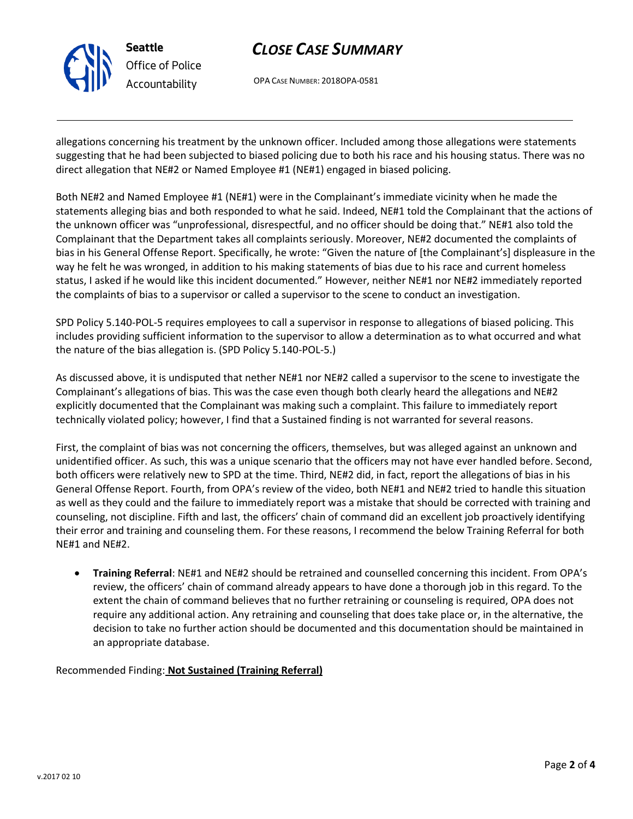

# *CLOSE CASE SUMMARY*

OPA CASE NUMBER: 2018OPA-0581

allegations concerning his treatment by the unknown officer. Included among those allegations were statements suggesting that he had been subjected to biased policing due to both his race and his housing status. There was no direct allegation that NE#2 or Named Employee #1 (NE#1) engaged in biased policing.

Both NE#2 and Named Employee #1 (NE#1) were in the Complainant's immediate vicinity when he made the statements alleging bias and both responded to what he said. Indeed, NE#1 told the Complainant that the actions of the unknown officer was "unprofessional, disrespectful, and no officer should be doing that." NE#1 also told the Complainant that the Department takes all complaints seriously. Moreover, NE#2 documented the complaints of bias in his General Offense Report. Specifically, he wrote: "Given the nature of [the Complainant's] displeasure in the way he felt he was wronged, in addition to his making statements of bias due to his race and current homeless status, I asked if he would like this incident documented." However, neither NE#1 nor NE#2 immediately reported the complaints of bias to a supervisor or called a supervisor to the scene to conduct an investigation.

SPD Policy 5.140-POL-5 requires employees to call a supervisor in response to allegations of biased policing. This includes providing sufficient information to the supervisor to allow a determination as to what occurred and what the nature of the bias allegation is. (SPD Policy 5.140-POL-5.)

As discussed above, it is undisputed that nether NE#1 nor NE#2 called a supervisor to the scene to investigate the Complainant's allegations of bias. This was the case even though both clearly heard the allegations and NE#2 explicitly documented that the Complainant was making such a complaint. This failure to immediately report technically violated policy; however, I find that a Sustained finding is not warranted for several reasons.

First, the complaint of bias was not concerning the officers, themselves, but was alleged against an unknown and unidentified officer. As such, this was a unique scenario that the officers may not have ever handled before. Second, both officers were relatively new to SPD at the time. Third, NE#2 did, in fact, report the allegations of bias in his General Offense Report. Fourth, from OPA's review of the video, both NE#1 and NE#2 tried to handle this situation as well as they could and the failure to immediately report was a mistake that should be corrected with training and counseling, not discipline. Fifth and last, the officers' chain of command did an excellent job proactively identifying their error and training and counseling them. For these reasons, I recommend the below Training Referral for both NE#1 and NE#2.

• **Training Referral**: NE#1 and NE#2 should be retrained and counselled concerning this incident. From OPA's review, the officers' chain of command already appears to have done a thorough job in this regard. To the extent the chain of command believes that no further retraining or counseling is required, OPA does not require any additional action. Any retraining and counseling that does take place or, in the alternative, the decision to take no further action should be documented and this documentation should be maintained in an appropriate database.

Recommended Finding: **Not Sustained (Training Referral)**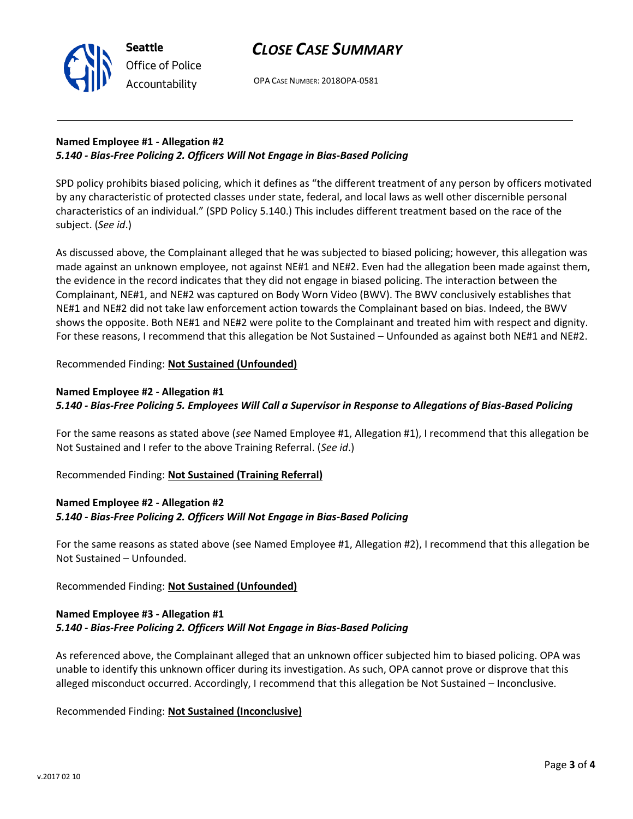

## *CLOSE CASE SUMMARY*

OPA CASE NUMBER: 2018OPA-0581

### **Named Employee #1 - Allegation #2** *5.140 - Bias-Free Policing 2. Officers Will Not Engage in Bias-Based Policing*

SPD policy prohibits biased policing, which it defines as "the different treatment of any person by officers motivated by any characteristic of protected classes under state, federal, and local laws as well other discernible personal characteristics of an individual." (SPD Policy 5.140.) This includes different treatment based on the race of the subject. (*See id*.)

As discussed above, the Complainant alleged that he was subjected to biased policing; however, this allegation was made against an unknown employee, not against NE#1 and NE#2. Even had the allegation been made against them, the evidence in the record indicates that they did not engage in biased policing. The interaction between the Complainant, NE#1, and NE#2 was captured on Body Worn Video (BWV). The BWV conclusively establishes that NE#1 and NE#2 did not take law enforcement action towards the Complainant based on bias. Indeed, the BWV shows the opposite. Both NE#1 and NE#2 were polite to the Complainant and treated him with respect and dignity. For these reasons, I recommend that this allegation be Not Sustained – Unfounded as against both NE#1 and NE#2.

## Recommended Finding: **Not Sustained (Unfounded)**

## **Named Employee #2 - Allegation #1**

**Seattle**

## *5.140 - Bias-Free Policing 5. Employees Will Call a Supervisor in Response to Allegations of Bias-Based Policing*

For the same reasons as stated above (*see* Named Employee #1, Allegation #1), I recommend that this allegation be Not Sustained and I refer to the above Training Referral. (*See id*.)

Recommended Finding: **Not Sustained (Training Referral)**

## **Named Employee #2 - Allegation #2** *5.140 - Bias-Free Policing 2. Officers Will Not Engage in Bias-Based Policing*

For the same reasons as stated above (see Named Employee #1, Allegation #2), I recommend that this allegation be Not Sustained – Unfounded.

Recommended Finding: **Not Sustained (Unfounded)**

#### **Named Employee #3 - Allegation #1** *5.140 - Bias-Free Policing 2. Officers Will Not Engage in Bias-Based Policing*

As referenced above, the Complainant alleged that an unknown officer subjected him to biased policing. OPA was unable to identify this unknown officer during its investigation. As such, OPA cannot prove or disprove that this alleged misconduct occurred. Accordingly, I recommend that this allegation be Not Sustained – Inconclusive.

Recommended Finding: **Not Sustained (Inconclusive)**